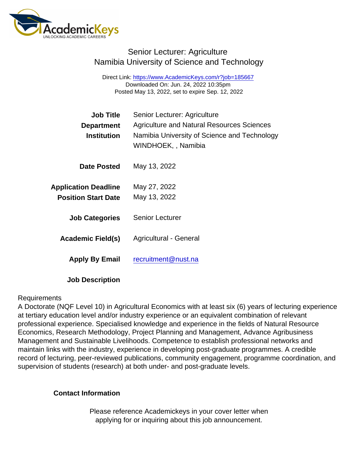## Senior Lecturer: Agriculture Namibia University of Science and Technology

Direct Link: <https://www.AcademicKeys.com/r?job=185667> Downloaded On: Jun. 24, 2022 10:35pm Posted May 13, 2022, set to expire Sep. 12, 2022

| Job Title                   | Senior Lecturer: Agriculture                                       |
|-----------------------------|--------------------------------------------------------------------|
| Department                  | <b>Agriculture and Natural Resources Sciences</b>                  |
| Institution                 | Namibia University of Science and Technology<br>WINDHOEK,, Namibia |
| Date Posted                 | May 13, 2022                                                       |
| <b>Application Deadline</b> | May 27, 2022                                                       |
| <b>Position Start Date</b>  | May 13, 2022                                                       |
| <b>Job Categories</b>       | <b>Senior Lecturer</b>                                             |
| Academic Field(s)           | Agricultural - General                                             |
| Apply By Email              | recruitment@nust.na                                                |

Job Description

## Requirements

A Doctorate (NQF Level 10) in Agricultural Economics with at least six (6) years of lecturing experience at tertiary education level and/or industry experience or an equivalent combination of relevant professional experience. Specialised knowledge and experience in the fields of Natural Resource Economics, Research Methodology, Project Planning and Management, Advance Agribusiness Management and Sustainable Livelihoods. Competence to establish professional networks and maintain links with the industry, experience in developing post-graduate programmes. A credible record of lecturing, peer-reviewed publications, community engagement, programme coordination, and supervision of students (research) at both under- and post-graduate levels.

Contact Information

Please reference Academickeys in your cover letter when applying for or inquiring about this job announcement.